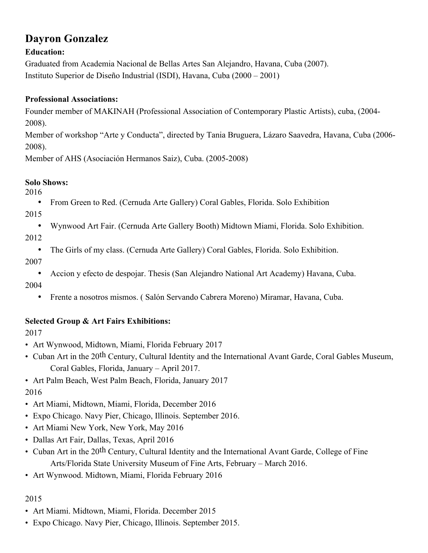# **Dayron Gonzalez**

#### **Education:**

Graduated from Academia Nacional de Bellas Artes San Alejandro, Havana, Cuba (2007). Instituto Superior de Diseño Industrial (ISDI), Havana, Cuba (2000 – 2001)

#### **Professional Associations:**

Founder member of MAKINAH (Professional Association of Contemporary Plastic Artists), cuba, (2004- 2008).

Member of workshop "Arte y Conducta", directed by Tania Bruguera, Lázaro Saavedra, Havana, Cuba (2006- 2008).

Member of AHS (Asociación Hermanos Saiz), Cuba. (2005-2008)

#### **Solo Shows:**

2016

- From Green to Red. (Cernuda Arte Gallery) Coral Gables, Florida. Solo Exhibition
- 2015
	- Wynwood Art Fair. (Cernuda Arte Gallery Booth) Midtown Miami, Florida. Solo Exhibition.

2012

• The Girls of my class. (Cernuda Arte Gallery) Coral Gables, Florida. Solo Exhibition.

2007

• Accion y efecto de despojar. Thesis (San Alejandro National Art Academy) Havana, Cuba.

2004

• Frente a nosotros mismos. ( Salón Servando Cabrera Moreno) Miramar, Havana, Cuba.

## **Selected Group & Art Fairs Exhibitions:**

2017

- Art Wynwood, Midtown, Miami, Florida February 2017
- Cuban Art in the 20th Century, Cultural Identity and the International Avant Garde, Coral Gables Museum, Coral Gables, Florida, January – April 2017.
- Art Palm Beach, West Palm Beach, Florida, January 2017 2016
- Art Miami, Midtown, Miami, Florida, December 2016
- Expo Chicago. Navy Pier, Chicago, Illinois. September 2016.
- Art Miami New York, New York, May 2016
- Dallas Art Fair, Dallas, Texas, April 2016
- Cuban Art in the 20<sup>th</sup> Century, Cultural Identity and the International Avant Garde, College of Fine Arts/Florida State University Museum of Fine Arts, February – March 2016.
- Art Wynwood. Midtown, Miami, Florida February 2016

### 2015

- Art Miami. Midtown, Miami, Florida. December 2015
- Expo Chicago. Navy Pier, Chicago, Illinois. September 2015.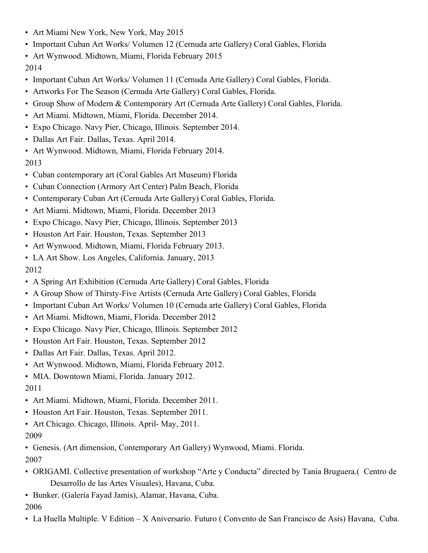- Art Miami New York, New York, May 2015
- Important Cuban Art Works/ Volumen 12 (Cernuda arte Gallery) Coral Gables, Florida
- Art Wynwood. Midtown, Miami, Florida February 2015
- 2014
- Important Cuban Art Works/ Volumen 11 (Cernuda Arte Gallery) Coral Gables, Florida.
- Artworks For The Season (Cernuda Arte Gallery) Coral Gables, Florida.
- Group Show of Modern & Contemporary Art (Cernuda Arte Gallery) Coral Gables, Florida.
- Art Miami. Midtown, Miami, Florida. December 2014.
- Expo Chicago. Navy Pier, Chicago, Illinois. September 2014.
- Dallas Art Fair. Dallas, Texas. April 2014.
- Art Wynwood. Midtown, Miami, Florida February 2014.

2013

- Cuban contemporary art (Coral Gables Art Museum) Florida
- Cuban Connection (Armory Art Center) Palm Beach, Florida
- Contemporary Cuban Art (Cernuda Arte Gallery) Coral Gables, Florida.
- Art Miami. Midtown, Miami, Florida. December 2013
- Expo Chicago. Navy Pier, Chicago, Illinois. September 2013
- Houston Art Fair. Houston, Texas. September 2013
- Art Wynwood. Midtown, Miami, Florida February 2013.
- LA Art Show. Los Angeles, California. January, 2013 2012
- A Spring Art Exhibition (Cernuda Arte Gallery) Coral Gables, Florida
- A Group Show of Thirsty-Five Artists (Cernuda Arte Gallery) Coral Gables, Florida
- Important Cuban Art Works/ Volumen 10 (Cernuda arte Gallery) Coral Gables, Florida
- Art Miami. Midtown, Miami, Florida. December 2012
- Expo Chicago. Navy Pier, Chicago, Illinois. September 2012
- Houston Art Fair. Houston, Texas. September 2012
- Dallas Art Fair. Dallas, Texas. April 2012.
- Art Wynwood. Midtown, Miami, Florida February 2012.
- MIA. Downtown Miami, Florida. January 2012.

2011

- Art Miami. Midtown, Miami, Florida. December 2011.
- Houston Art Fair. Houston, Texas. September 2011.
- Art Chicago. Chicago, Illinois. April- May, 2011. 2009
- Genesis. (Art dimension, Contemporary Art Gallery) Wynwood, Miami. Florida. 2007
- ORIGAMI. Collective presentation of workshop "Arte y Conducta" directed by Tania Bruguera.( Centro de Desarrollo de las Artes Visuales), Havana, Cuba.
- Bunker. (Galería Fayad Jamis), Alamar, Havana, Cuba. 2006
- La Huella Multiple. V Edition X Aniversario. Futuro ( Convento de San Francisco de Asis) Havana, Cuba.